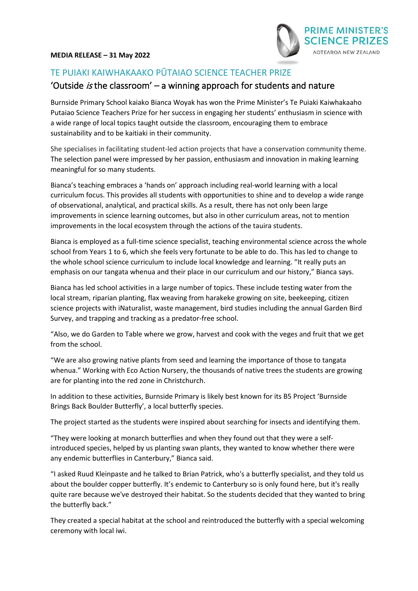

# TE PUIAKI KAIWHAKAAKO PŪTAIAO SCIENCE TEACHER PRIZE

# 'Outside is the classroom'  $-$  a winning approach for students and nature

Burnside Primary School kaiako Bianca Woyak has won the Prime Minister's Te Puiaki Kaiwhakaaho Putaiao Science Teachers Prize for her success in engaging her students' enthusiasm in science with a wide range of local topics taught outside the classroom, encouraging them to embrace sustainability and to be kaitiaki in their community.

She specialises in facilitating student-led action projects that have a conservation community theme. The selection panel were impressed by her passion, enthusiasm and innovation in making learning meaningful for so many students.

Bianca's teaching embraces a 'hands on' approach including real-world learning with a local curriculum focus. This provides all students with opportunities to shine and to develop a wide range of observational, analytical, and practical skills. As a result, there has not only been large improvements in science learning outcomes, but also in other curriculum areas, not to mention improvements in the local ecosystem through the actions of the tauira students.

Bianca is employed as a full-time science specialist, teaching environmental science across the whole school from Years 1 to 6, which she feels very fortunate to be able to do. This has led to change to the whole school science curriculum to include local knowledge and learning. "It really puts an emphasis on our tangata whenua and their place in our curriculum and our history," Bianca says.

Bianca has led school activities in a large number of topics. These include testing water from the local stream, riparian planting, flax weaving from harakeke growing on site, beekeeping, citizen science projects with iNaturalist, waste management, bird studies including the annual Garden Bird Survey, and trapping and tracking as a predator-free school.

"Also, we do Garden to Table where we grow, harvest and cook with the veges and fruit that we get from the school.

"We are also growing native plants from seed and learning the importance of those to tangata whenua." Working with Eco Action Nursery, the thousands of native trees the students are growing are for planting into the red zone in Christchurch.

In addition to these activities, Burnside Primary is likely best known for its B5 Project 'Burnside Brings Back Boulder Butterfly', a local butterfly species.

The project started as the students were inspired about searching for insects and identifying them.

"They were looking at monarch butterflies and when they found out that they were a selfintroduced species, helped by us planting swan plants, they wanted to know whether there were any endemic butterflies in Canterbury," Bianca said.

"I asked Ruud Kleinpaste and he talked to Brian Patrick, who's a butterfly specialist, and they told us about the boulder copper butterfly. It's endemic to Canterbury so is only found here, but it's really quite rare because we've destroyed their habitat. So the students decided that they wanted to bring the butterfly back."

They created a special habitat at the school and reintroduced the butterfly with a special welcoming ceremony with local iwi.